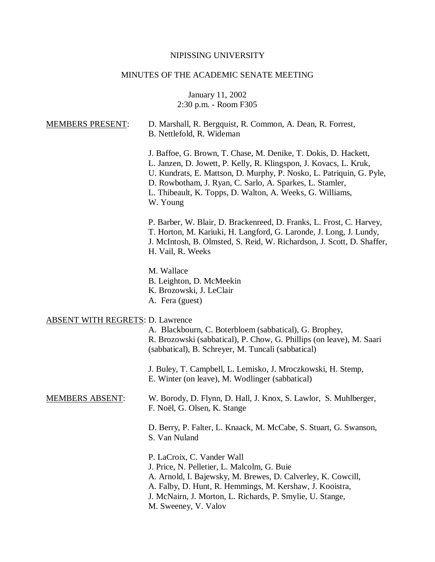# NIPISSING UNIVERSITY

# MINUTES OF THE ACADEMIC SENATE MEETING

January 11, 2002 2:30 p.m. - Room F305

| <b>MEMBERS PRESENT:</b>                 | D. Marshall, R. Bergquist, R. Common, A. Dean, R. Forrest,<br>B. Nettlefold, R. Wideman                                                                                                                                                                                                                                                           |
|-----------------------------------------|---------------------------------------------------------------------------------------------------------------------------------------------------------------------------------------------------------------------------------------------------------------------------------------------------------------------------------------------------|
|                                         | J. Baffoe, G. Brown, T. Chase, M. Denike, T. Dokis, D. Hackett,<br>L. Janzen, D. Jowett, P. Kelly, R. Klingspon, J. Kovacs, L. Kruk,<br>U. Kundrats, E. Mattson, D. Murphy, P. Nosko, L. Patriquin, G. Pyle,<br>D. Rowbotham, J. Ryan, C. Sarlo, A. Sparkes, L. Stamler,<br>L. Thibeault, K. Topps, D. Walton, A. Weeks, G. Williams,<br>W. Young |
|                                         | P. Barber, W. Blair, D. Brackenreed, D. Franks, L. Frost, C. Harvey,<br>T. Horton, M. Kariuki, H. Langford, G. Laronde, J. Long, J. Lundy,<br>J. McIntosh, B. Olmsted, S. Reid, W. Richardson, J. Scott, D. Shaffer,<br>H. Vail, R. Weeks                                                                                                         |
|                                         | M. Wallace<br>B. Leighton, D. McMeekin<br>K. Brozowski, J. LeClair<br>A. Fera (guest)                                                                                                                                                                                                                                                             |
| <b>ABSENT WITH REGRETS: D. Lawrence</b> | A. Blackbourn, C. Boterbloem (sabbatical), G. Brophey,<br>R. Brozowski (sabbatical), P. Chow, G. Phillips (on leave), M. Saari<br>(sabbatical), B. Schreyer, M. Tuncali (sabbatical)                                                                                                                                                              |
|                                         | J. Buley, T. Campbell, L. Lemisko, J. Mroczkowski, H. Stemp,<br>E. Winter (on leave), M. Wodlinger (sabbatical)                                                                                                                                                                                                                                   |
| <b>MEMBERS ABSENT:</b>                  | W. Borody, D. Flynn, D. Hall, J. Knox, S. Lawlor, S. Muhlberger,<br>F. Noël, G. Olsen, K. Stange                                                                                                                                                                                                                                                  |
|                                         | D. Berry, P. Falter, L. Knaack, M. McCabe, S. Stuart, G. Swanson,<br>S. Van Nuland                                                                                                                                                                                                                                                                |
|                                         | P. LaCroix, C. Vander Wall<br>J. Price, N. Pelletier, L. Malcolm, G. Buie<br>A. Arnold, I. Bajewsky, M. Brewes, D. Calverley, K. Cowcill,<br>A. Falby, D. Hunt, R. Hemmings, M. Kershaw, J. Kooistra,<br>J. McNairn, J. Morton, L. Richards, P. Smylie, U. Stange,<br>M. Sweeney, V. Valov                                                        |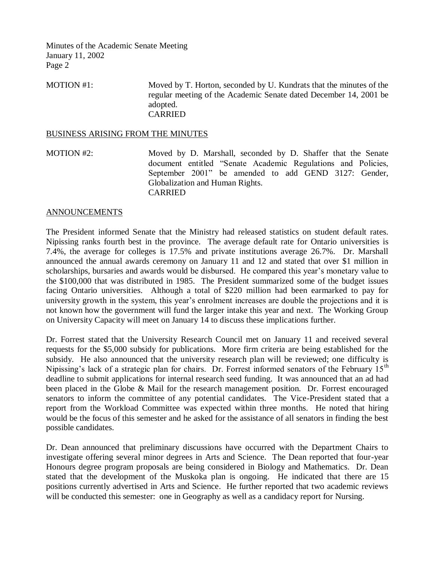MOTION #1: Moved by T. Horton, seconded by U. Kundrats that the minutes of the regular meeting of the Academic Senate dated December 14, 2001 be adopted. CARRIED

#### BUSINESS ARISING FROM THE MINUTES

MOTION #2: Moved by D. Marshall, seconded by D. Shaffer that the Senate document entitled "Senate Academic Regulations and Policies, September 2001" be amended to add GEND 3127: Gender, Globalization and Human Rights. CARRIED

### ANNOUNCEMENTS

The President informed Senate that the Ministry had released statistics on student default rates. Nipissing ranks fourth best in the province. The average default rate for Ontario universities is 7.4%, the average for colleges is 17.5% and private institutions average 26.7%. Dr. Marshall announced the annual awards ceremony on January 11 and 12 and stated that over \$1 million in scholarships, bursaries and awards would be disbursed. He compared this year's monetary value to the \$100,000 that was distributed in 1985. The President summarized some of the budget issues facing Ontario universities. Although a total of \$220 million had been earmarked to pay for university growth in the system, this year's enrolment increases are double the projections and it is not known how the government will fund the larger intake this year and next. The Working Group on University Capacity will meet on January 14 to discuss these implications further.

Dr. Forrest stated that the University Research Council met on January 11 and received several requests for the \$5,000 subsidy for publications. More firm criteria are being established for the subsidy. He also announced that the university research plan will be reviewed; one difficulty is Nipissing's lack of a strategic plan for chairs. Dr. Forrest informed senators of the February 15<sup>th</sup> deadline to submit applications for internal research seed funding. It was announced that an ad had been placed in the Globe & Mail for the research management position. Dr. Forrest encouraged senators to inform the committee of any potential candidates. The Vice-President stated that a report from the Workload Committee was expected within three months. He noted that hiring would be the focus of this semester and he asked for the assistance of all senators in finding the best possible candidates.

Dr. Dean announced that preliminary discussions have occurred with the Department Chairs to investigate offering several minor degrees in Arts and Science. The Dean reported that four-year Honours degree program proposals are being considered in Biology and Mathematics. Dr. Dean stated that the development of the Muskoka plan is ongoing. He indicated that there are 15 positions currently advertised in Arts and Science. He further reported that two academic reviews will be conducted this semester: one in Geography as well as a candidacy report for Nursing.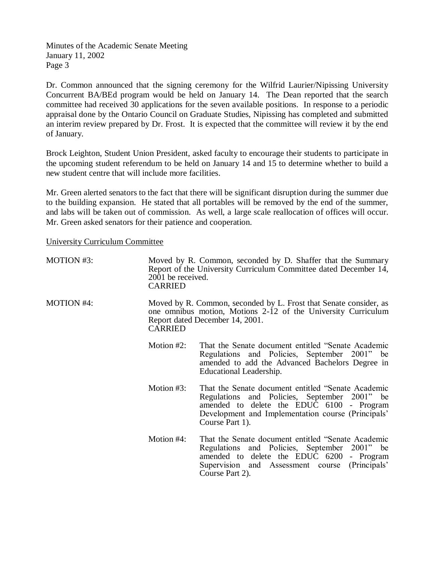Dr. Common announced that the signing ceremony for the Wilfrid Laurier/Nipissing University Concurrent BA/BEd program would be held on January 14. The Dean reported that the search committee had received 30 applications for the seven available positions. In response to a periodic appraisal done by the Ontario Council on Graduate Studies, Nipissing has completed and submitted an interim review prepared by Dr. Frost. It is expected that the committee will review it by the end of January.

Brock Leighton, Student Union President, asked faculty to encourage their students to participate in the upcoming student referendum to be held on January 14 and 15 to determine whether to build a new student centre that will include more facilities.

Mr. Green alerted senators to the fact that there will be significant disruption during the summer due to the building expansion. He stated that all portables will be removed by the end of the summer, and labs will be taken out of commission. As well, a large scale reallocation of offices will occur. Mr. Green asked senators for their patience and cooperation.

University Curriculum Committee

| <b>MOTION #3:</b> | 2001 be received.<br><b>CARRIED</b>                                                                                                                                                     | Moved by R. Common, seconded by D. Shaffer that the Summary<br>Report of the University Curriculum Committee dated December 14,                                                                                              |  |
|-------------------|-----------------------------------------------------------------------------------------------------------------------------------------------------------------------------------------|------------------------------------------------------------------------------------------------------------------------------------------------------------------------------------------------------------------------------|--|
| <b>MOTION #4:</b> | Moved by R. Common, seconded by L. Frost that Senate consider, as<br>one omnibus motion, Motions 2-12 of the University Curriculum<br>Report dated December 14, 2001.<br><b>CARRIED</b> |                                                                                                                                                                                                                              |  |
|                   | Motion $#2$ :                                                                                                                                                                           | That the Senate document entitled "Senate Academic"<br>Regulations and Policies, September 2001" be<br>amended to add the Advanced Bachelors Degree in<br>Educational Leadership.                                            |  |
|                   | Motion $#3$ :                                                                                                                                                                           | That the Senate document entitled "Senate Academic"<br>Regulations and Policies, September 2001" be<br>amended to delete the EDUC 6100 - Program<br>Development and Implementation course (Principals'<br>Course Part 1).    |  |
|                   | Motion #4:                                                                                                                                                                              | That the Senate document entitled "Senate Academic"<br>Regulations and Policies, September 2001" be<br>amended to delete the EDUC 6200<br>- Program<br>(Principals')<br>Supervision and Assessment course<br>Course Part 2). |  |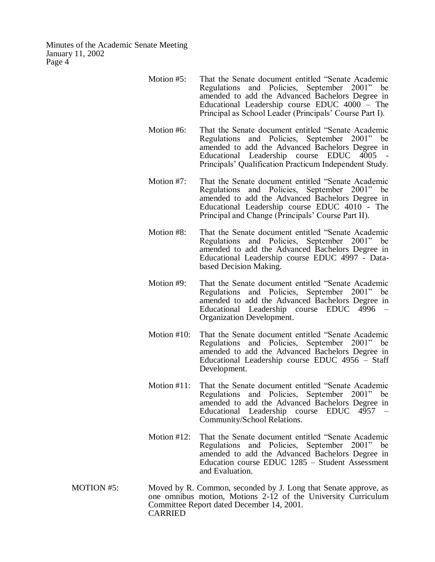- Motion #5: That the Senate document entitled "Senate Academic Regulations and Policies, September 2001" be amended to add the Advanced Bachelors Degree in Educational Leadership course EDUC 4000 – The Principal as School Leader (Principals' Course Part I).
- Motion #6: That the Senate document entitled "Senate Academic Regulations and Policies, September 2001" be amended to add the Advanced Bachelors Degree in Educational Leadership course EDUC 4005 Principals' Qualification Practicum Independent Study.
- Motion #7: That the Senate document entitled "Senate Academic Regulations and Policies, September 2001" be amended to add the Advanced Bachelors Degree in Educational Leadership course EDUC 4010 - The Principal and Change (Principals' Course Part II).
- Motion #8: That the Senate document entitled "Senate Academic Regulations and Policies, September 2001" be amended to add the Advanced Bachelors Degree in Educational Leadership course EDUC 4997 - Databased Decision Making.
- Motion #9: That the Senate document entitled "Senate Academic Regulations and Policies, September 2001" be amended to add the Advanced Bachelors Degree in Educational Leadership course EDUC 4996 – Organization Development.
- Motion #10: That the Senate document entitled "Senate Academic Regulations and Policies, September 2001" be amended to add the Advanced Bachelors Degree in Educational Leadership course EDUC 4956 – Staff Development.
- Motion #11: That the Senate document entitled "Senate Academic Regulations and Policies, September 2001" be amended to add the Advanced Bachelors Degree in Educational Leadership course EDUC 4957 – Community/School Relations.
- Motion #12: That the Senate document entitled "Senate Academic Regulations and Policies, September 2001" be amended to add the Advanced Bachelors Degree in Education course EDUC 1285 – Student Assessment and Evaluation.
- MOTION #5: Moved by R. Common, seconded by J. Long that Senate approve, as one omnibus motion, Motions 2-12 of the University Curriculum Committee Report dated December 14, 2001. CARRIED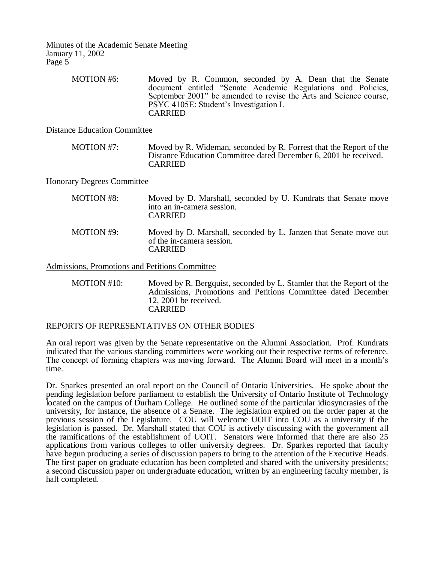> MOTION #6: Moved by R. Common, seconded by A. Dean that the Senate document entitled "Senate Academic Regulations and Policies, September 2001" be amended to revise the Arts and Science course, PSYC 4105E: Student's Investigation I. CARRIED

Distance Education Committee

MOTION #7: Moved by R. Wideman, seconded by R. Forrest that the Report of the Distance Education Committee dated December 6, 2001 be received. CARRIED

Honorary Degrees Committee

| <b>MOTION #8:</b> | Moved by D. Marshall, seconded by U. Kundrats that Senate move<br>into an in-camera session.<br><b>CARRIED</b>  |
|-------------------|-----------------------------------------------------------------------------------------------------------------|
| MOTION #9:        | Moved by D. Marshall, seconded by L. Janzen that Senate move out<br>of the in-camera session.<br><b>CARRIED</b> |
|                   |                                                                                                                 |

Admissions, Promotions and Petitions Committee

MOTION #10: Moved by R. Bergquist, seconded by L. Stamler that the Report of the Admissions, Promotions and Petitions Committee dated December 12, 2001 be received. CARRIED

REPORTS OF REPRESENTATIVES ON OTHER BODIES

An oral report was given by the Senate representative on the Alumni Association. Prof. Kundrats indicated that the various standing committees were working out their respective terms of reference. The concept of forming chapters was moving forward. The Alumni Board will meet in a month's time.

Dr. Sparkes presented an oral report on the Council of Ontario Universities. He spoke about the pending legislation before parliament to establish the University of Ontario Institute of Technology located on the campus of Durham College. He outlined some of the particular idiosyncrasies of the university, for instance, the absence of a Senate. The legislation expired on the order paper at the previous session of the Legislature. COU will welcome UOIT into COU as a university if the legislation is passed. Dr. Marshall stated that COU is actively discussing with the government all the ramifications of the establishment of UOIT. Senators were informed that there are also 25 applications from various colleges to offer university degrees. Dr. Sparkes reported that faculty have begun producing a series of discussion papers to bring to the attention of the Executive Heads. The first paper on graduate education has been completed and shared with the university presidents; a second discussion paper on undergraduate education, written by an engineering faculty member, is half completed.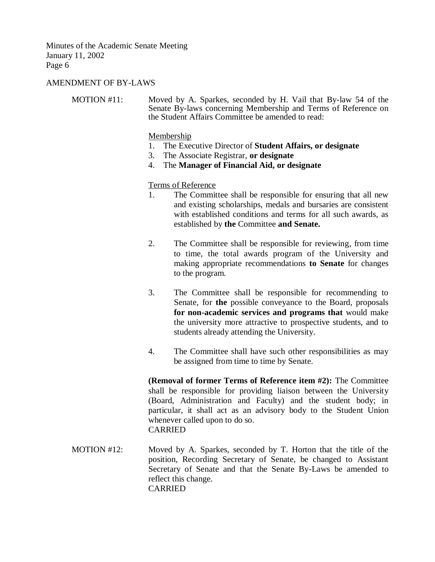## AMENDMENT OF BY-LAWS

MOTION #11: Moved by A. Sparkes, seconded by H. Vail that By-law 54 of the Senate By-laws concerning Membership and Terms of Reference on the Student Affairs Committee be amended to read:

#### Membership

- 1. The Executive Director of **Student Affairs, or designate**
- 3. The Associate Registrar, **or designate**
- 4. The **Manager of Financial Aid, or designate**

Terms of Reference

- 1. The Committee shall be responsible for ensuring that all new and existing scholarships, medals and bursaries are consistent with established conditions and terms for all such awards, as established by **the** Committee **and Senate.**
- 2. The Committee shall be responsible for reviewing, from time to time, the total awards program of the University and making appropriate recommendations **to Senate** for changes to the program.
- 3. The Committee shall be responsible for recommending to Senate, for **the** possible conveyance to the Board, proposals **for non-academic services and programs that** would make the university more attractive to prospective students, and to students already attending the University.
- 4. The Committee shall have such other responsibilities as may be assigned from time to time by Senate.

**(Removal of former Terms of Reference item #2):** The Committee shall be responsible for providing liaison between the University (Board, Administration and Faculty) and the student body; in particular, it shall act as an advisory body to the Student Union whenever called upon to do so. CARRIED

MOTION #12: Moved by A. Sparkes, seconded by T. Horton that the title of the position, Recording Secretary of Senate, be changed to Assistant Secretary of Senate and that the Senate By-Laws be amended to reflect this change. CARRIED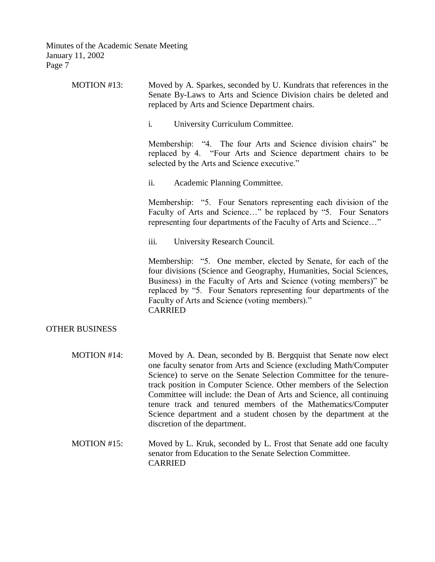| MOTION #13:           | Moved by A. Sparkes, seconded by U. Kundrats that references in the<br>Senate By-Laws to Arts and Science Division chairs be deleted and<br>replaced by Arts and Science Department chairs.                                                                                                                                                                                                                                                                                                                                      |
|-----------------------|----------------------------------------------------------------------------------------------------------------------------------------------------------------------------------------------------------------------------------------------------------------------------------------------------------------------------------------------------------------------------------------------------------------------------------------------------------------------------------------------------------------------------------|
|                       | i.<br>University Curriculum Committee.                                                                                                                                                                                                                                                                                                                                                                                                                                                                                           |
|                       | Membership: "4. The four Arts and Science division chairs" be<br>replaced by 4. "Four Arts and Science department chairs to be<br>selected by the Arts and Science executive."                                                                                                                                                                                                                                                                                                                                                   |
|                       | ii.<br>Academic Planning Committee.                                                                                                                                                                                                                                                                                                                                                                                                                                                                                              |
|                       | Membership: "5. Four Senators representing each division of the<br>Faculty of Arts and Science" be replaced by "5. Four Senators<br>representing four departments of the Faculty of Arts and Science"                                                                                                                                                                                                                                                                                                                            |
|                       | iii.<br>University Research Council.                                                                                                                                                                                                                                                                                                                                                                                                                                                                                             |
|                       | Membership: "5. One member, elected by Senate, for each of the<br>four divisions (Science and Geography, Humanities, Social Sciences,<br>Business) in the Faculty of Arts and Science (voting members)" be<br>replaced by "5. Four Senators representing four departments of the<br>Faculty of Arts and Science (voting members)."<br><b>CARRIED</b>                                                                                                                                                                             |
| <b>OTHER BUSINESS</b> |                                                                                                                                                                                                                                                                                                                                                                                                                                                                                                                                  |
| MOTION #14:           | Moved by A. Dean, seconded by B. Bergquist that Senate now elect<br>one faculty senator from Arts and Science (excluding Math/Computer<br>Science) to serve on the Senate Selection Committee for the tenure-<br>track position in Computer Science. Other members of the Selection<br>Committee will include: the Dean of Arts and Science, all continuing<br>tenure track and tenured members of the Mathematics/Computer<br>Science department and a student chosen by the department at the<br>discretion of the department. |
| MOTION #15:           | Moved by L. Kruk, seconded by L. Frost that Senate add one faculty<br>senator from Education to the Senate Selection Committee.<br><b>CARRIED</b>                                                                                                                                                                                                                                                                                                                                                                                |